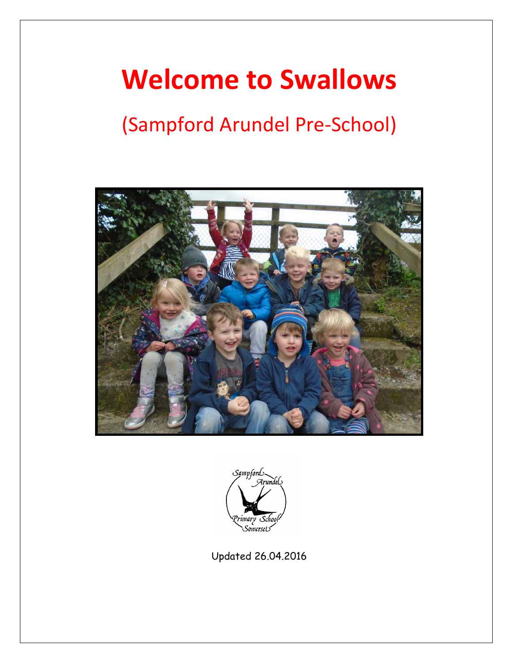# **Welcome to Swallows**

# (Sampford Arundel Pre-School)





Updated 26.04.2016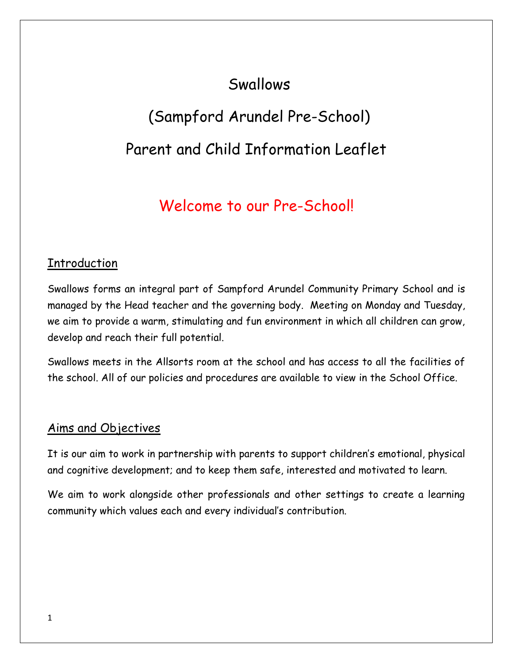# Swallows

# (Sampford Arundel Pre-School) Parent and Child Information Leaflet

# Welcome to our Pre-School!

### Introduction

Swallows forms an integral part of Sampford Arundel Community Primary School and is managed by the Head teacher and the governing body. Meeting on Monday and Tuesday, we aim to provide a warm, stimulating and fun environment in which all children can grow, develop and reach their full potential.

Swallows meets in the Allsorts room at the school and has access to all the facilities of the school. All of our policies and procedures are available to view in the School Office.

#### Aims and Objectives

It is our aim to work in partnership with parents to support children's emotional, physical and cognitive development; and to keep them safe, interested and motivated to learn.

We aim to work alongside other professionals and other settings to create a learning community which values each and every individual's contribution.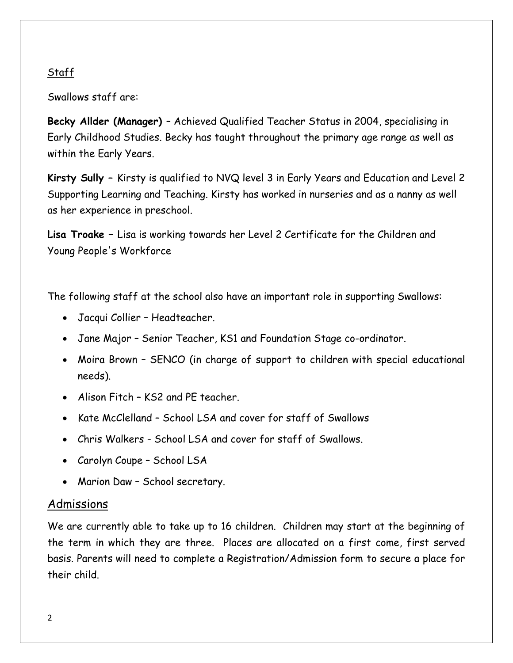#### Staff

Swallows staff are:

**Becky Allder (Manager)** – Achieved Qualified Teacher Status in 2004, specialising in Early Childhood Studies. Becky has taught throughout the primary age range as well as within the Early Years.

**Kirsty Sully –** Kirsty is qualified to NVQ level 3 in Early Years and Education and Level 2 Supporting Learning and Teaching. Kirsty has worked in nurseries and as a nanny as well as her experience in preschool.

**Lisa Troake –** Lisa is working towards her Level 2 Certificate for the Children and Young People's Workforce

The following staff at the school also have an important role in supporting Swallows:

- Jacqui Collier Headteacher.
- Jane Major Senior Teacher, KS1 and Foundation Stage co-ordinator.
- Moira Brown SENCO (in charge of support to children with special educational needs).
- Alison Fitch KS2 and PE teacher.
- Kate McClelland School LSA and cover for staff of Swallows
- Chris Walkers School LSA and cover for staff of Swallows.
- Carolyn Coupe School LSA
- Marion Daw School secretary.

#### Admissions

We are currently able to take up to 16 children. Children may start at the beginning of the term in which they are three. Places are allocated on a first come, first served basis. Parents will need to complete a Registration/Admission form to secure a place for their child.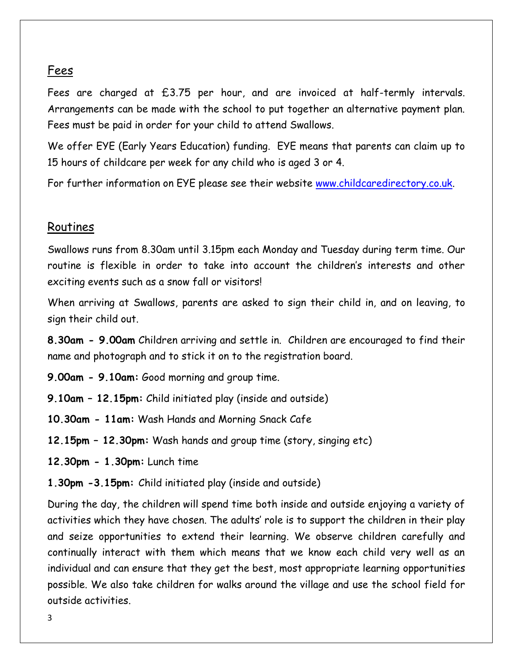#### Fees

Fees are charged at £3.75 per hour, and are invoiced at half-termly intervals. Arrangements can be made with the school to put together an alternative payment plan. Fees must be paid in order for your child to attend Swallows.

We offer EYE (Early Years Education) funding. EYE means that parents can claim up to 15 hours of childcare per week for any child who is aged 3 or 4.

For further information on EYE please see their website [www.childcaredirectory.co.uk.](http://www.childcaredirectory.co.uk/)

#### Routines

Swallows runs from 8.30am until 3.15pm each Monday and Tuesday during term time. Our routine is flexible in order to take into account the children's interests and other exciting events such as a snow fall or visitors!

When arriving at Swallows, parents are asked to sign their child in, and on leaving, to sign their child out.

**8.30am - 9.00am** Children arriving and settle in. Children are encouraged to find their name and photograph and to stick it on to the registration board.

- **9.00am - 9.10am:** Good morning and group time.
- **9.10am – 12.15pm:** Child initiated play (inside and outside)
- **10.30am - 11am:** Wash Hands and Morning Snack Cafe
- **12.15pm – 12.30pm:** Wash hands and group time (story, singing etc)
- **12.30pm - 1.30pm:** Lunch time
- **1.30pm -3.15pm:** Child initiated play (inside and outside)

During the day, the children will spend time both inside and outside enjoying a variety of activities which they have chosen. The adults' role is to support the children in their play and seize opportunities to extend their learning. We observe children carefully and continually interact with them which means that we know each child very well as an individual and can ensure that they get the best, most appropriate learning opportunities possible. We also take children for walks around the village and use the school field for outside activities.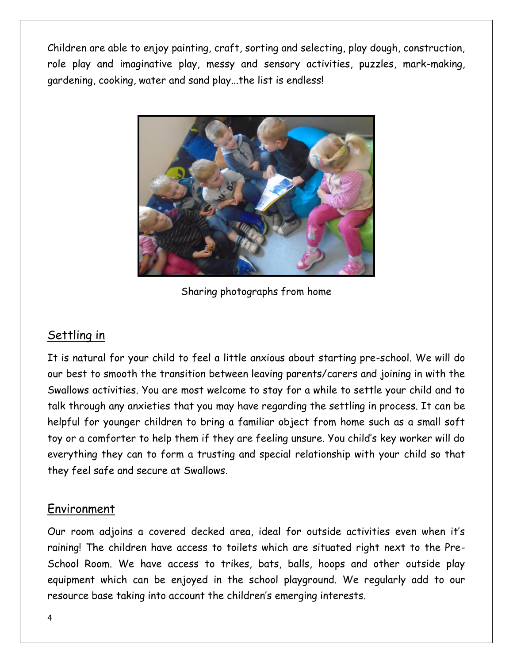Children are able to enjoy painting, craft, sorting and selecting, play dough, construction, role play and imaginative play, messy and sensory activities, puzzles, mark-making, gardening, cooking, water and sand play...the list is endless!



Sharing photographs from home

# Settling in

It is natural for your child to feel a little anxious about starting pre-school. We will do our best to smooth the transition between leaving parents/carers and joining in with the Swallows activities. You are most welcome to stay for a while to settle your child and to talk through any anxieties that you may have regarding the settling in process. It can be helpful for younger children to bring a familiar object from home such as a small soft toy or a comforter to help them if they are feeling unsure. You child's key worker will do everything they can to form a trusting and special relationship with your child so that they feel safe and secure at Swallows.

# Environment

Our room adjoins a covered decked area, ideal for outside activities even when it's raining! The children have access to toilets which are situated right next to the Pre-School Room. We have access to trikes, bats, balls, hoops and other outside play equipment which can be enjoyed in the school playground. We regularly add to our resource base taking into account the children's emerging interests.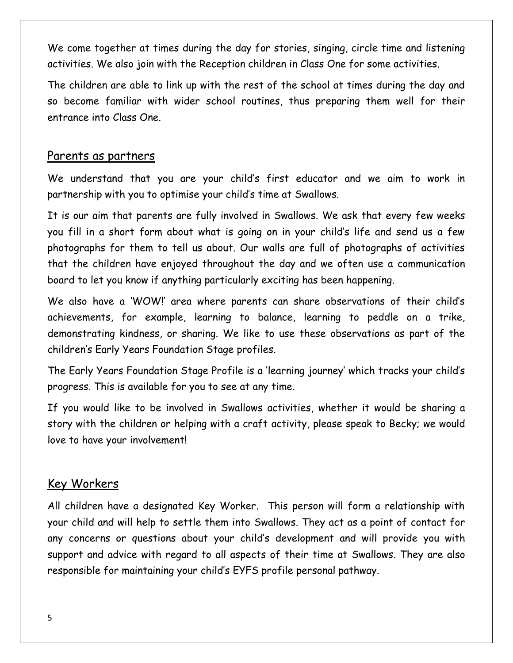We come together at times during the day for stories, singing, circle time and listening activities. We also join with the Reception children in Class One for some activities.

The children are able to link up with the rest of the school at times during the day and so become familiar with wider school routines, thus preparing them well for their entrance into Class One.

#### Parents as partners

We understand that you are your child's first educator and we aim to work in partnership with you to optimise your child's time at Swallows.

It is our aim that parents are fully involved in Swallows. We ask that every few weeks you fill in a short form about what is going on in your child's life and send us a few photographs for them to tell us about. Our walls are full of photographs of activities that the children have enjoyed throughout the day and we often use a communication board to let you know if anything particularly exciting has been happening.

We also have a 'WOW!' area where parents can share observations of their child's achievements, for example, learning to balance, learning to peddle on a trike, demonstrating kindness, or sharing. We like to use these observations as part of the children's Early Years Foundation Stage profiles.

The Early Years Foundation Stage Profile is a 'learning journey' which tracks your child's progress. This is available for you to see at any time.

If you would like to be involved in Swallows activities, whether it would be sharing a story with the children or helping with a craft activity, please speak to Becky; we would love to have your involvement!

### Key Workers

All children have a designated Key Worker. This person will form a relationship with your child and will help to settle them into Swallows. They act as a point of contact for any concerns or questions about your child's development and will provide you with support and advice with regard to all aspects of their time at Swallows. They are also responsible for maintaining your child's EYFS profile personal pathway.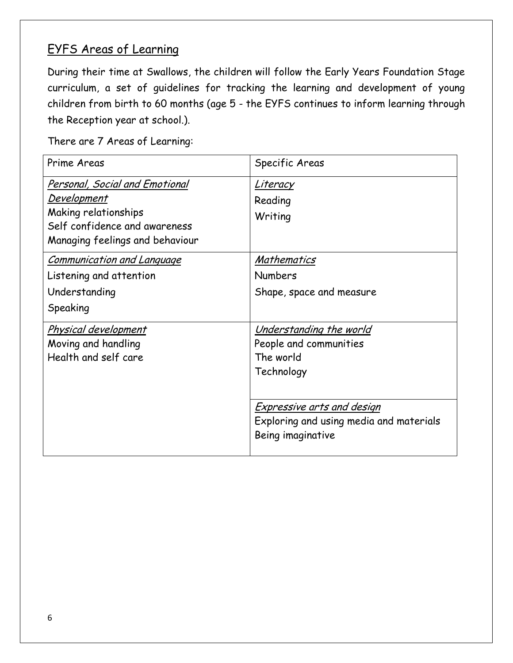# EYFS Areas of Learning

During their time at Swallows, the children will follow the Early Years Foundation Stage curriculum, a set of guidelines for tracking the learning and development of young children from birth to 60 months (age 5 - the EYFS continues to inform learning through the Reception year at school.).

There are 7 Areas of Learning:

| Prime Areas                                                                                                                                             | Specific Areas                                                                                                                                                                           |
|---------------------------------------------------------------------------------------------------------------------------------------------------------|------------------------------------------------------------------------------------------------------------------------------------------------------------------------------------------|
| <b>Personal, Social and Emotional</b><br><u>Development</u><br>Making relationships<br>Self confidence and awareness<br>Managing feelings and behaviour | <u>Literacy</u><br>Reading<br>Writing                                                                                                                                                    |
| <b>Communication and Language</b><br>Listening and attention<br>Understanding<br>Speaking                                                               | <b>Mathematics</b><br><b>Numbers</b><br>Shape, space and measure                                                                                                                         |
| <u>Physical development</u><br>Moving and handling<br>Health and self care                                                                              | <u>Understanding the world</u><br>People and communities<br>The world<br>Technology<br><u>Expressive arts and design</u><br>Exploring and using media and materials<br>Being imaginative |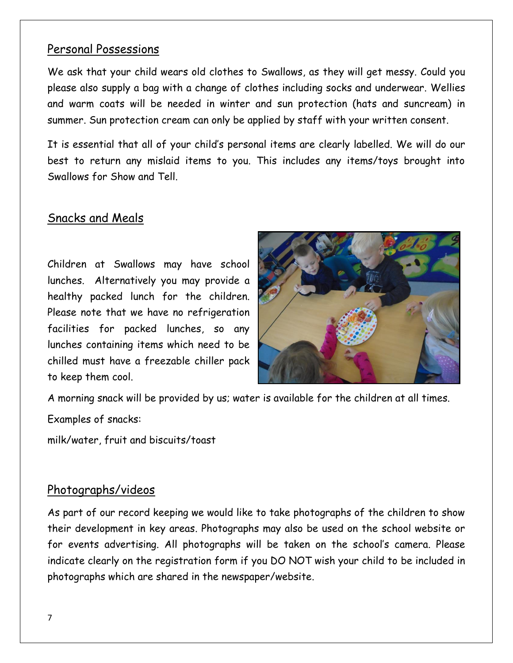#### Personal Possessions

We ask that your child wears old clothes to Swallows, as they will get messy. Could you please also supply a bag with a change of clothes including socks and underwear. Wellies and warm coats will be needed in winter and sun protection (hats and suncream) in summer. Sun protection cream can only be applied by staff with your written consent.

It is essential that all of your child's personal items are clearly labelled. We will do our best to return any mislaid items to you. This includes any items/toys brought into Swallows for Show and Tell.

#### Snacks and Meals

Children at Swallows may have school lunches. Alternatively you may provide a healthy packed lunch for the children. Please note that we have no refrigeration facilities for packed lunches, so any lunches containing items which need to be chilled must have a freezable chiller pack to keep them cool.



A morning snack will be provided by us; water is available for the children at all times.

Examples of snacks:

milk/water, fruit and biscuits/toast

#### Photographs/videos

As part of our record keeping we would like to take photographs of the children to show their development in key areas. Photographs may also be used on the school website or for events advertising. All photographs will be taken on the school's camera. Please indicate clearly on the registration form if you DO NOT wish your child to be included in photographs which are shared in the newspaper/website.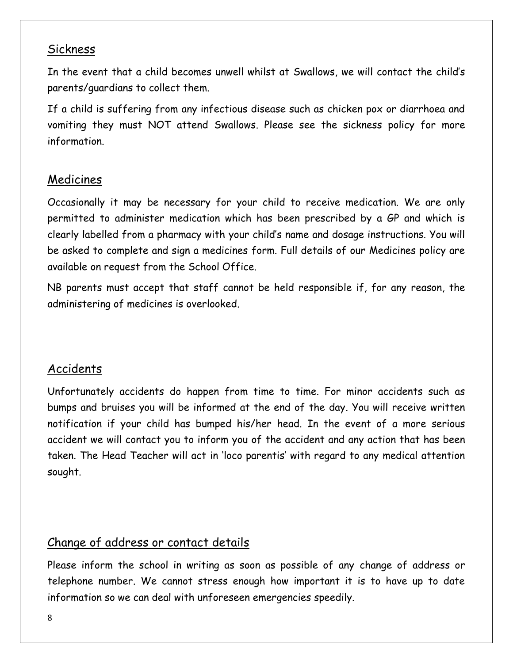#### Sickness

In the event that a child becomes unwell whilst at Swallows, we will contact the child's parents/guardians to collect them.

If a child is suffering from any infectious disease such as chicken pox or diarrhoea and vomiting they must NOT attend Swallows. Please see the sickness policy for more information.

# Medicines

Occasionally it may be necessary for your child to receive medication. We are only permitted to administer medication which has been prescribed by a GP and which is clearly labelled from a pharmacy with your child's name and dosage instructions. You will be asked to complete and sign a medicines form. Full details of our Medicines policy are available on request from the School Office.

NB parents must accept that staff cannot be held responsible if, for any reason, the administering of medicines is overlooked.

# Accidents

Unfortunately accidents do happen from time to time. For minor accidents such as bumps and bruises you will be informed at the end of the day. You will receive written notification if your child has bumped his/her head. In the event of a more serious accident we will contact you to inform you of the accident and any action that has been taken. The Head Teacher will act in 'loco parentis' with regard to any medical attention sought.

# Change of address or contact details

Please inform the school in writing as soon as possible of any change of address or telephone number. We cannot stress enough how important it is to have up to date information so we can deal with unforeseen emergencies speedily.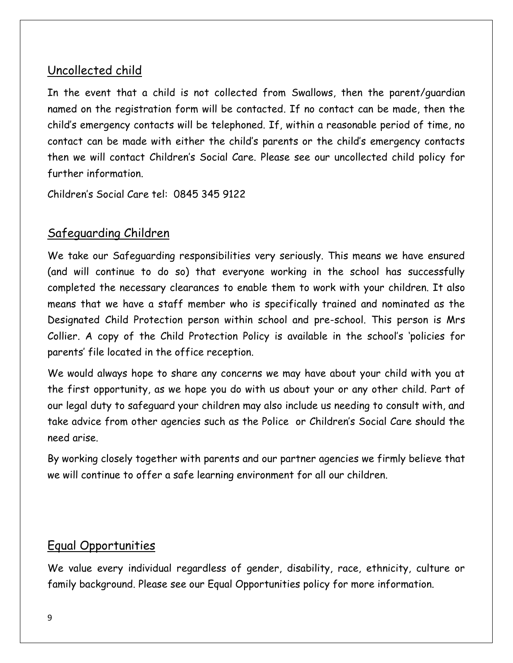# Uncollected child

In the event that a child is not collected from Swallows, then the parent/guardian named on the registration form will be contacted. If no contact can be made, then the child's emergency contacts will be telephoned. If, within a reasonable period of time, no contact can be made with either the child's parents or the child's emergency contacts then we will contact Children's Social Care. Please see our uncollected child policy for further information.

Children's Social Care tel: 0845 345 9122

# Safeguarding Children

We take our Safeguarding responsibilities very seriously. This means we have ensured (and will continue to do so) that everyone working in the school has successfully completed the necessary clearances to enable them to work with your children. It also means that we have a staff member who is specifically trained and nominated as the Designated Child Protection person within school and pre-school. This person is Mrs Collier. A copy of the Child Protection Policy is available in the school's 'policies for parents' file located in the office reception.

We would always hope to share any concerns we may have about your child with you at the first opportunity, as we hope you do with us about your or any other child. Part of our legal duty to safeguard your children may also include us needing to consult with, and take advice from other agencies such as the Police or Children's Social Care should the need arise.

By working closely together with parents and our partner agencies we firmly believe that we will continue to offer a safe learning environment for all our children.

#### Equal Opportunities

We value every individual regardless of gender, disability, race, ethnicity, culture or family background. Please see our Equal Opportunities policy for more information.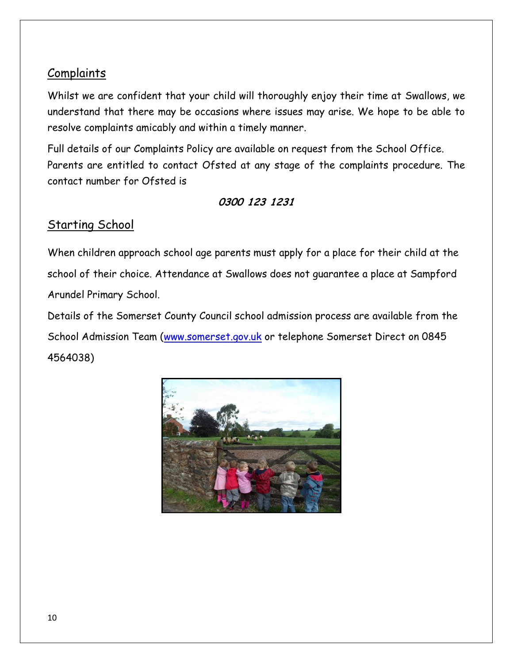# **Complaints**

Whilst we are confident that your child will thoroughly enjoy their time at Swallows, we understand that there may be occasions where issues may arise. We hope to be able to resolve complaints amicably and within a timely manner.

Full details of our Complaints Policy are available on request from the School Office. Parents are entitled to contact Ofsted at any stage of the complaints procedure. The contact number for Ofsted is

#### **0300 123 1231**

# Starting School

When children approach school age parents must apply for a place for their child at the school of their choice. Attendance at Swallows does not guarantee a place at Sampford Arundel Primary School.

Details of the Somerset County Council school admission process are available from the School Admission Team [\(www.somerset.gov.uk](http://www.somerset.gov.uk/) or telephone Somerset Direct on 0845 4564038)